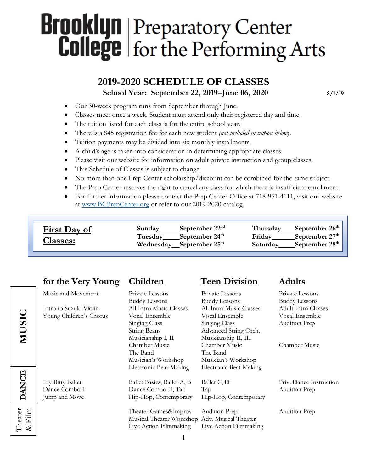# **Brooklyn** Preparatory Center **College** for the Performing Arts

# **2019-2020 SCHEDULE OF CLASSES**<br>School Year: September 22, 2019–June 06, 2020 8/1/19

- Our 30-week program runs from September through June.
- Classes meet once a week. Student must attend only their registered day and time.
- The tuition listed for each class is for the entire school year.
- There is a \$45 registration fee for each new student *(not included in tuition below*).
- Tuition payments may be divided into six monthly installments.
- A child's age is taken into consideration in determining appropriate classes.
- Please visit our website for information on adult private instruction and group classes.
- This Schedule of Classes is subject to change.
- No more than one Prep Center scholarship/discount can be combined for the same subject.
- The Prep Center reserves the right to cancel any class for which there is insufficient enrollment.
- For further information please contact the Prep Center Office at 718-951-4111, visit our website at www.BCPrepCenter.org or refer to our 2019-2020 catalog*.*

| Thursday September 26 <sup>th</sup><br>$\frac{\text{September }22^{nd}}{}$<br>Sunday<br><b>First Day of</b><br>Friday September $27th$<br>Tuesday_____September 24 <sup>th</sup><br><b>Classes:</b><br>Saturday_____September 28 <sup>th</sup><br>Wednesday September $25th$ |
|------------------------------------------------------------------------------------------------------------------------------------------------------------------------------------------------------------------------------------------------------------------------------|
|------------------------------------------------------------------------------------------------------------------------------------------------------------------------------------------------------------------------------------------------------------------------------|

#### **for the Very Young Children Teen Division Adults**

Music and Movement Private Lessons Private Lessons Private Lessons

Intro to Suzuki Violin All Intro Music Classes All Intro Music Classes Adult Intro Classes Young Children's Chorus Vocal Ensemble Vocal Ensemble Vocal Ensemble

Theater  $\vert$ <br>& Film

& Film **MUSIC DANCE**

**DANCE** 

**MUSIC** 

String Beans Advanced String Orch. Musicianship I, II Musicianship II, III The Band The Band Musician's Workshop Musician's Workshop

Itty Bitty Ballet Ballet Basics, Ballet A, B Ballet C, D Priv. Dance Instruction Dance Combo I Dance Combo II, Tap Tap Audition Prep

> Theater Games&Improv Audition Prep Audition Prep Musical Theater Workshop Adv. Musical Theater Live Action Filmmaking Live Action Filmmaking

Buddy Lessons Buddy Lessons Buddy Lessons Singing Class Singing Class Audition Prep Chamber Music Chamber Music Chamber Music Electronic Beat-Making Electronic Beat-Making

Jump and Move Hip-Hop, Contemporary Hip-Hop, Contemporary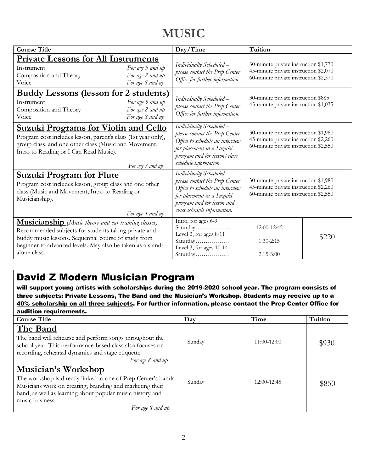# **MUSIC**

| <b>Course Title</b>                                                                                                                                                                                                                                       |                                                          | Day/Time                                                                                                                                                                                | Tuition                                                                                                                 |       |
|-----------------------------------------------------------------------------------------------------------------------------------------------------------------------------------------------------------------------------------------------------------|----------------------------------------------------------|-----------------------------------------------------------------------------------------------------------------------------------------------------------------------------------------|-------------------------------------------------------------------------------------------------------------------------|-------|
| <b>Private Lessons for All Instruments</b><br>Instrument<br>Composition and Theory<br>Voice                                                                                                                                                               | For age 5 and up<br>For age 8 and up<br>For age 8 and up | Individually Scheduled -<br>please contact the Prep Center<br>Office for further information.                                                                                           | 30-minute private instruction \$1,770<br>45-minute private instruction \$2,070<br>60-minute private instruction \$2,370 |       |
| <b>Buddy Lessons (lesson for 2 students)</b><br>Instrument<br>Composition and Theory<br>Voice                                                                                                                                                             | For age 5 and up<br>For age 8 and up<br>For age 8 and up | Individually Scheduled -<br>please contact the Prep Center<br>Office for further information.                                                                                           | 30-minute private instruction \$885<br>45-minute private instruction \$1,035                                            |       |
| <b>Suzuki Programs for Violin and Cello</b><br>Program cost includes lesson, parent's class (1st year only),<br>group class, and one other class (Music and Movement,<br>Intro to Reading or I Can Read Music).                                           | For age 3 and up                                         | Individually Scheduled -<br>please contact the Prep Center<br>Office to schedule an interview<br>for placement in a Suzuki<br>program and for lesson/class<br>schedule information.     | 30-minute private instruction \$1,980<br>45-minute private instruction \$2,260<br>60-minute private instruction \$2,550 |       |
| <b>Suzuki Program for Flute</b><br>Program cost includes lesson, group class and one other<br>class (Music and Movement, Intro to Reading or<br>Musicianship).<br>For age 4 and up                                                                        |                                                          | Individually Scheduled -<br>please contact the Prep Center<br>Office to schedule an interview<br>for placement in a Suzuki<br>program and for lesson and<br>class schedule information. | 30-minute private instruction \$1,980<br>45-minute private instruction \$2,260<br>60-minute private instruction \$2,550 |       |
| <b>Musicianship</b> (Music theory and ear training classes)<br>Recommended subjects for students taking private and<br>buddy music lessons. Sequential course of study from<br>beginner to advanced levels. May also be taken as a stand-<br>alone class. |                                                          | Intro, for ages 6-9<br>Saturday<br>Level 2, for ages 8-11<br>Saturday<br>Level 3, for ages 10-14<br>Saturday                                                                            | 12:00-12:45<br>$1:30-2:15$<br>$2:15-3:00$                                                                               | \$220 |

### David Z Modern Musician Program

will support young artists with scholarships during the 2019-2020 school year. The program consists of three subjects: Private Lessons, The Band and the Musician's Workshop. Students may receive up to a 40% scholarship on all three subjects. For further information, please contact the Prep Center Office for audition requirements.

| <b>Course Title</b>                                                                                                                                                                                                                                   | Day    | Time            | Tuition |
|-------------------------------------------------------------------------------------------------------------------------------------------------------------------------------------------------------------------------------------------------------|--------|-----------------|---------|
| The Band<br>The band will rehearse and perform songs throughout the<br>school year. This performance-based class also focuses on<br>recording, rehearsal dynamics and stage etiquette.<br>For age 8 and up                                            | Sunday | $11:00-12:00$   | \$930   |
| Musician's Workshop<br>The workshop is directly linked to one of Prep Center's bands.<br>Musicians work on creating, branding and marketing their<br>band, as well as learning about popular music history and<br>music business.<br>For age 8 and up | Sunday | $12:00 - 12:45$ | \$850   |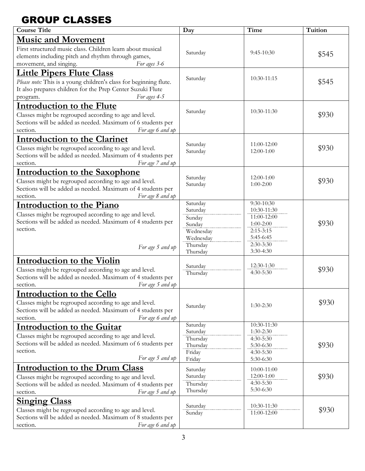### GROUP CLASSES

| <b>Course Title</b>                                                                                                                                                                 | Day                                                                | Time                                                                                   | Tuition |
|-------------------------------------------------------------------------------------------------------------------------------------------------------------------------------------|--------------------------------------------------------------------|----------------------------------------------------------------------------------------|---------|
| <b>Music and Movement</b>                                                                                                                                                           |                                                                    |                                                                                        |         |
| First structured music class. Children learn about musical<br>elements including pitch and rhythm through games,<br>movement, and singing.<br>For ages 3-6                          | Saturday                                                           | $9:45-10:30$                                                                           | \$545   |
| <b>Little Pipers Flute Class</b>                                                                                                                                                    |                                                                    |                                                                                        |         |
| Please note: This is a young children's class for beginning flute.<br>It also prepares children for the Prep Center Suzuki Flute<br>For ages 4-5<br>program.                        | Saturday                                                           | 10:30-11:15                                                                            | \$545   |
| <b>Introduction to the Flute</b>                                                                                                                                                    |                                                                    |                                                                                        |         |
| Classes might be regrouped according to age and level.<br>Sections will be added as needed. Maximum of 6 students per<br>For age 6 and up<br>section.                               | Saturday                                                           | 10:30-11:30                                                                            | \$930   |
| <b>Introduction to the Clarinet</b>                                                                                                                                                 |                                                                    |                                                                                        |         |
| Classes might be regrouped according to age and level.<br>Sections will be added as needed. Maximum of 4 students per<br>For age 7 and up<br>section.                               | Saturday<br>Saturday                                               | 11:00-12:00<br>12:00-1:00                                                              | \$930   |
| <b>Introduction to the Saxophone</b>                                                                                                                                                |                                                                    |                                                                                        |         |
| Classes might be regrouped according to age and level.<br>Sections will be added as needed. Maximum of 4 students per<br>For age 8 and up<br>section.                               | Saturday<br>Saturday                                               | $12:00-1:00$<br>$1:00-2:00$                                                            | \$930   |
| <b>Introduction to the Piano</b>                                                                                                                                                    | Saturday                                                           | 9:30-10:30                                                                             |         |
| Classes might be regrouped according to age and level.<br>Sections will be added as needed. Maximum of 4 students per<br>section.<br>For age 5 and up                               | Saturday<br>Sunday<br>Sunday<br>Wednesday<br>Wednesday<br>Thursday | 10:30-11:30<br>11:00-12:00<br>$1:00 - 2:00$<br>$2:15-3:15$<br>5:45-6:45<br>$2:30-3:30$ | \$930   |
|                                                                                                                                                                                     | Thursday                                                           | $3:30-4:30$                                                                            |         |
| Introduction to the Violin<br>Classes might be regrouped according to age and level.<br>Sections will be added as needed. Maximum of 4 students per<br>section.<br>For age 5 and up | Saturday<br>Thursday                                               | 12:30-1:30<br>$4:30-5:30$                                                              | \$930   |
| <b>Introduction to the Cello</b>                                                                                                                                                    |                                                                    |                                                                                        |         |
| Classes might be regrouped according to age and level.<br>Sections will be added as needed. Maximum of 4 students per<br>section.<br>For age 6 and up                               | Saturday                                                           | $1:30-2:30$                                                                            | \$930   |
| <b>Introduction to the Guitar</b>                                                                                                                                                   | Saturday                                                           | 10:30-11:30                                                                            |         |
| Classes might be regrouped according to age and level.<br>Sections will be added as needed. Maximum of 6 students per<br>section.<br>For age 5 and up                               | Saturday<br>Thursday<br>Thursday<br>Friday<br>Friday               | $1:30-2:30$<br>$4:30-5:30$<br>5:30-6:30<br>4:30-5:30<br>5:30-6:30                      | \$930   |
| <b>Introduction to the Drum Class</b>                                                                                                                                               | Saturday                                                           | 10:00-11:00                                                                            |         |
| Classes might be regrouped according to age and level.<br>Sections will be added as needed. Maximum of 4 students per<br>section.<br>For age 5 and up                               | Saturday<br>Thursday<br>Thursday                                   | 12:00-1:00<br>4:30-5:30<br>5:30-6:30                                                   | \$930   |
| <b>Singing Class</b>                                                                                                                                                                |                                                                    |                                                                                        |         |
| Classes might be regrouped according to age and level.<br>Sections will be added as needed. Maximum of 8 students per<br>For age 6 and up<br>section.                               | Saturday<br>Sunday                                                 | 10:30-11:30<br>11:00-12:00                                                             | \$930   |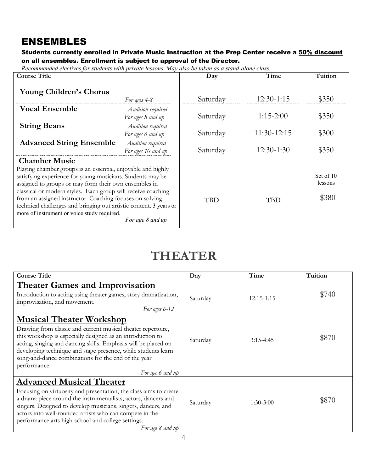### ENSEMBLES

#### Students currently enrolled in Private Music Instruction at the Prep Center receive a 50% discount on all ensembles. Enrollment is subject to approval of the Director.

*Recommended electives for students with private lessons. May also be taken as a stand-alone class.*

| <b>Course Title</b>                                                                                                                                                                                                                                                                                                                                                                                                                                                              |                                         | Day        | Time         | Tuition                       |
|----------------------------------------------------------------------------------------------------------------------------------------------------------------------------------------------------------------------------------------------------------------------------------------------------------------------------------------------------------------------------------------------------------------------------------------------------------------------------------|-----------------------------------------|------------|--------------|-------------------------------|
| <b>Young Children's Chorus</b>                                                                                                                                                                                                                                                                                                                                                                                                                                                   | For ages 4-8                            | Saturday   | 12:30-1:15   | \$350                         |
| <b>Vocal Ensemble</b>                                                                                                                                                                                                                                                                                                                                                                                                                                                            | Audition required<br>For ages 8 and up  | Saturday   | $1:15-2:00$  | \$350                         |
| <b>String Beans</b>                                                                                                                                                                                                                                                                                                                                                                                                                                                              | Audition required<br>For ages 6 and up  | Saturday   | 11:30-12:15  | \$300                         |
| <b>Advanced String Ensemble</b>                                                                                                                                                                                                                                                                                                                                                                                                                                                  | Audition required<br>For ages 10 and up | Saturday   | $12:30-1:30$ | \$350                         |
| <b>Chamber Music</b><br>Playing chamber groups is an essential, enjoyable and highly<br>satisfying experience for young musicians. Students may be<br>assigned to groups or may form their own ensembles in<br>classical or modern styles. Each group will receive coaching<br>from an assigned instructor. Coaching focuses on solving<br>technical challenges and bringing out artistic content. 3 years or<br>more of instrument or voice study required.<br>For age 8 and up |                                         | <b>TBD</b> | <b>TBD</b>   | Set of 10<br>lessons<br>\$380 |

## **THEATER**

| <b>Course Title</b>                                                                                                                                                                                                                                                                                                                                                                         | Day      | Time        | Tuition |
|---------------------------------------------------------------------------------------------------------------------------------------------------------------------------------------------------------------------------------------------------------------------------------------------------------------------------------------------------------------------------------------------|----------|-------------|---------|
| <b>Theater Games and Improvisation</b><br>Introduction to acting using theater games, story dramatization,<br>improvisation, and movement.<br>For ages 6-12                                                                                                                                                                                                                                 | Saturday | 12:15-1:15  | \$740   |
| <b>Musical Theater Workshop</b><br>Drawing from classic and current musical theater repertoire,<br>this workshop is especially designed as an introduction to<br>acting, singing and dancing skills. Emphasis will be placed on<br>developing technique and stage presence, while students learn<br>song-and-dance combinations for the end of the year<br>performance.<br>For age 6 and up | Saturday | $3:15-4:45$ | \$870   |
| <b>Advanced Musical Theater</b><br>Focusing on virtuosity and presentation, the class aims to create<br>a drama piece around the instrumentalists, actors, dancers and<br>singers. Designed to develop musicians, singers, dancers, and<br>actors into well-rounded artists who can compete in the<br>performance arts high school and college settings.<br>For age 8 and up                | Saturday | $1:30-3:00$ | \$870   |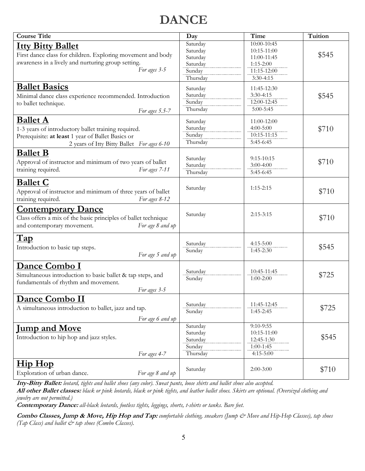# **DANCE**

| <b>Course Title</b>                                            | Day                  | Time                         | Tuition |
|----------------------------------------------------------------|----------------------|------------------------------|---------|
| <b>Itty Bitty Ballet</b>                                       | Saturday             | 10:00-10:45                  |         |
|                                                                | Saturday             | 10:15-11:00                  | \$545   |
| First dance class for children. Exploring movement and body    | Saturday             | 11:00-11:45                  |         |
| awareness in a lively and nurturing group setting.             | Saturday             | $1:15-2:00$                  |         |
| For ages 3-5                                                   | Sunday               | 11:15-12:00                  |         |
|                                                                | Thursday             | $3:30-4:15$                  |         |
| <b>Ballet Basics</b>                                           | Saturday             | 11:45-12:30                  |         |
| Minimal dance class experience recommended. Introduction       | Saturday             | $3:30-4:15$                  | \$545   |
| to ballet technique.                                           | Sunday               | 12:00-12:45                  |         |
| For ages 5.5-7                                                 | Thursday             | 5:00-5:45                    |         |
| <b>Ballet A</b>                                                |                      | 11:00-12:00                  |         |
|                                                                | Saturday<br>Saturday | $4:00 - 5:00$                |         |
| 1-3 years of introductory ballet training required.            | Sunday               | 10:15-11:15                  | \$710   |
| Prerequisite: at least 1 year of Ballet Basics or              |                      | 5:45-6:45                    |         |
| 2 years of Itty Bitty Ballet For ages 6-10                     | Thursday             |                              |         |
| <b>Ballet B</b>                                                |                      |                              |         |
| Approval of instructor and minimum of two years of ballet      | Saturday             | $9:15-10:15$                 | \$710   |
| training required.<br>For ages 7-11                            | Saturday             | $3:00-4:00$                  |         |
|                                                                | Thursday             | 5:45-6:45                    |         |
| <b>Ballet C</b>                                                |                      |                              |         |
|                                                                | Saturday             | $1:15-2:15$                  | \$710   |
| Approval of instructor and minimum of three years of ballet    |                      |                              |         |
| training required.<br>For ages 8-12                            |                      |                              |         |
| <b>Contemporary Dance</b>                                      |                      |                              |         |
| Class offers a mix of the basic principles of ballet technique | Saturday             | $2:15-3:15$                  | \$710   |
| For age 8 and up<br>and contemporary movement.                 |                      |                              |         |
|                                                                |                      |                              |         |
| Tap                                                            |                      |                              |         |
| Introduction to basic tap steps.                               | Saturday             | $4:15-5:00$                  | \$545   |
| For age 5 and up                                               | Sunday               | $1:45-2:30$                  |         |
|                                                                |                      |                              |         |
| Dance Combo I                                                  |                      |                              |         |
| Simultaneous introduction to basic ballet & tap steps, and     | Saturday             | 10:45-11:45                  | \$725   |
| fundamentals of rhythm and movement.                           | Sunday               | $1:00 - 2:00$                |         |
| For ages 3-5                                                   |                      |                              |         |
|                                                                |                      |                              |         |
| Dance Combo II                                                 | Saturday             | 11:45-12:45                  |         |
| A simultaneous introduction to ballet, jazz and tap.           | Sunday               | $1:45-2:45$                  | \$725   |
|                                                                |                      |                              |         |
| For age 6 and up                                               |                      |                              |         |
| <u>Jump and Move</u>                                           | Saturday             | $9:10 - 9:55$<br>10:15-11:00 |         |
| Introduction to hip hop and jazz styles.                       | Saturday<br>Saturday | 12:45-1:30                   | \$545   |
|                                                                | Sunday               | $1:00-1:45$                  |         |
|                                                                | Thursday             | $4:15 - 5:00$                |         |
| For ages 4-7                                                   |                      |                              |         |
| <u>Hip Hop</u>                                                 |                      |                              |         |
| Exploration of urban dance.<br>For age 8 and up                | Saturday             | $2:00-3:00$                  | \$710   |
|                                                                |                      |                              |         |

**Itty-Bitty Ballet:** *leotard, tights and ballet shoes (any color). Sweat pants, loose shirts and ballet shoes also accepted.*

**All other Ballet classes:** *black or pink leotards, black or pink tights, and leather ballet shoes. Skirts are optional. (Oversized clothing and jewelry are not permitted.)*

**Contemporary Dance:** *all-black leotards, footless tights, leggings, shorts, t-shirts or tanks. Bare feet.*

**Combo Classes, Jump & Move, Hip Hop and Tap:** *comfortable clothing, sneakers (Jump & Move and Hip-Hop Classes), tap shoes (Tap Class) and ballet & tap shoes (Combo Classes).*